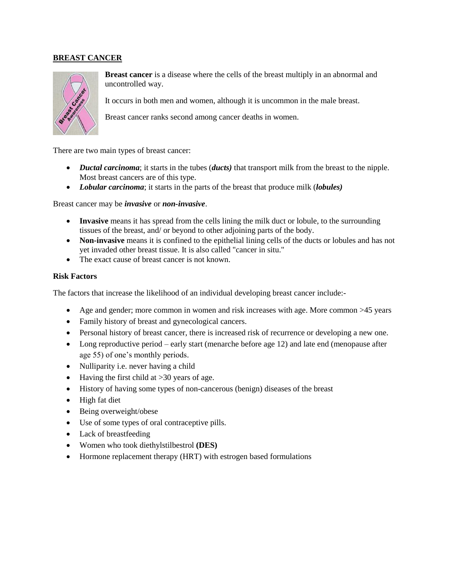### **BREAST CANCER**



**Breast cancer** is a disease where the cells of the breast multiply in an abnormal and uncontrolled way.

It occurs in both men and women, although it is uncommon in the male breast.

Breast cancer ranks second among cancer deaths in women.

There are two main types of breast cancer:

- *Ductal carcinoma*; it starts in the tubes (*ducts)* that transport milk from the breast to the nipple. Most breast cancers are of this type.
- *Lobular carcinoma*; it starts in the parts of the breast that produce milk (*lobules)*

### Breast cancer may be *invasive* or *non-invasive*.

- **Invasive** means it has spread from the cells lining the milk duct or lobule, to the surrounding tissues of the breast, and/ or beyond to other adjoining parts of the body.
- **Non-invasive** means it is confined to the epithelial lining cells of the ducts or lobules and has not yet invaded other breast tissue. It is also called "cancer in situ."
- The exact cause of breast cancer is not known.

### **Risk Factors**

The factors that increase the likelihood of an individual developing breast cancer include:-

- Age and gender; more common in women and risk increases with age. More common >45 years
- Family history of breast and gynecological cancers.
- Personal history of breast cancer, there is increased risk of recurrence or developing a new one.
- Long reproductive period early start (menarche before age 12) and late end (menopause after age 55) of one's monthly periods.
- Nulliparity i.e. never having a child
- $\bullet$  Having the first child at >30 years of age.
- History of having some types of non-cancerous (benign) diseases of the breast
- High fat diet
- Being overweight/obese
- Use of some types of oral contraceptive pills.
- Lack of breastfeeding
- Women who took diethylstilbestrol **(DES)**
- Hormone replacement therapy (HRT) with estrogen based formulations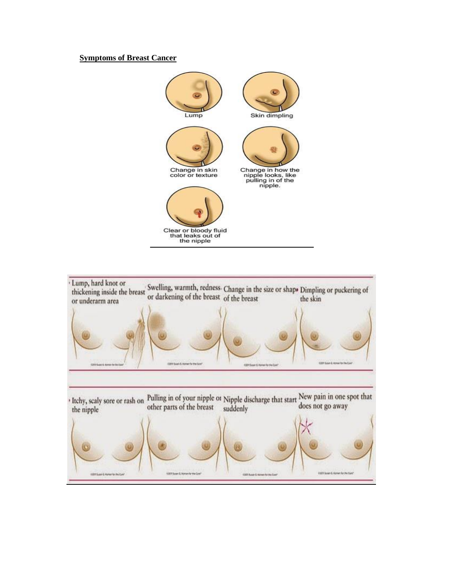### **Symptoms of Breast Cancer**



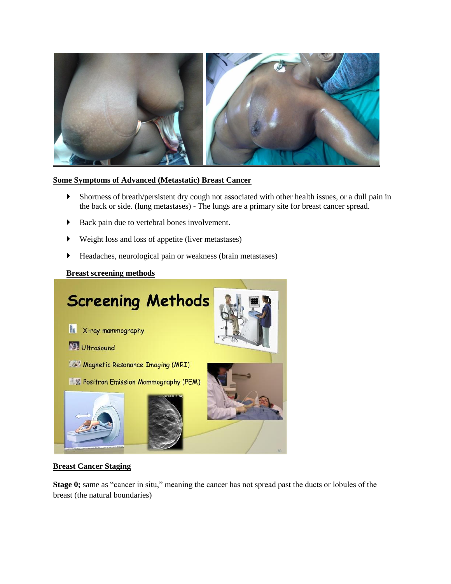

## **Some Symptoms of Advanced (Metastatic) Breast Cancer**

- Shortness of breath/persistent dry cough not associated with other health issues, or a dull pain in the back or side. (lung metastases) - The lungs are a primary site for breast cancer spread.
- Back pain due to vertebral bones involvement.
- Weight loss and loss of appetite (liver metastases)
- Headaches, neurological pain or weakness (brain metastases)

### **Breast screening methods**



### **Breast Cancer Staging**

**Stage 0;** same as "cancer in situ," meaning the cancer has not spread past the ducts or lobules of the breast (the natural boundaries)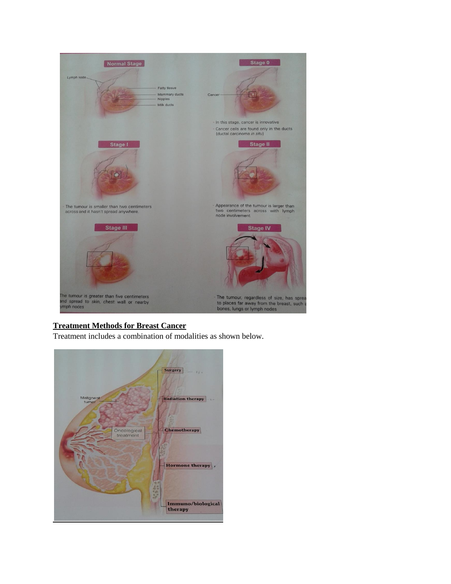

# **Treatment Methods for Breast Cancer**

Treatment includes a combination of modalities as shown below.

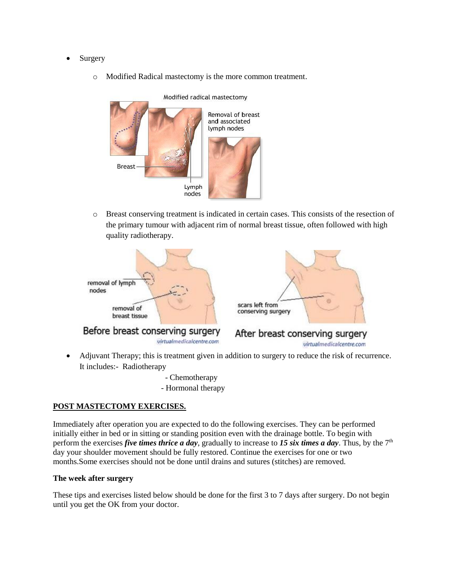- Surgery
	- o Modified Radical mastectomy is the more common treatment.



o Breast conserving treatment is indicated in certain cases. This consists of the resection of the primary tumour with adjacent rim of normal breast tissue, often followed with high quality radiotherapy.



- Adjuvant Therapy; this is treatment given in addition to surgery to reduce the risk of recurrence. It includes:- Radiotherapy
	- Chemotherapy - Hormonal therapy

### **POST MASTECTOMY EXERCISES.**

Immediately after operation you are expected to do the following exercises. They can be performed initially either in bed or in sitting or standing position even with the drainage bottle. To begin with perform the exercises *five times thrice a day*, gradually to increase to 15 six times a day. Thus, by the  $7<sup>th</sup>$ day your shoulder movement should be fully restored. Continue the exercises for one or two months.Some exercises should not be done until drains and sutures (stitches) are removed.

### **The week after surgery**

These tips and exercises listed below should be done for the first 3 to 7 days after surgery. Do not begin until you get the OK from your doctor.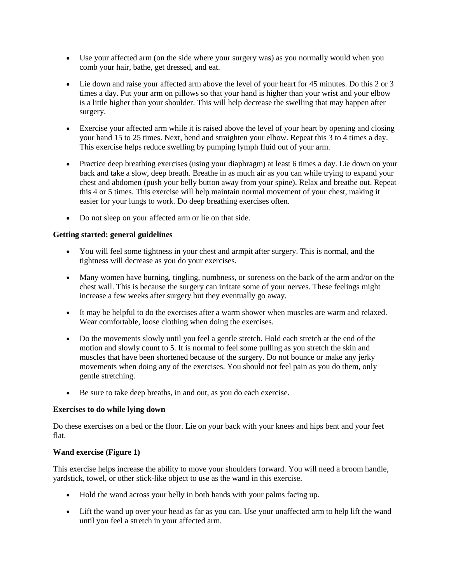- Use your affected arm (on the side where your surgery was) as you normally would when you comb your hair, bathe, get dressed, and eat.
- Lie down and raise your affected arm above the level of your heart for 45 minutes. Do this 2 or 3 times a day. Put your arm on pillows so that your hand is higher than your wrist and your elbow is a little higher than your shoulder. This will help decrease the swelling that may happen after surgery.
- Exercise your affected arm while it is raised above the level of your heart by opening and closing your hand 15 to 25 times. Next, bend and straighten your elbow. Repeat this 3 to 4 times a day. This exercise helps reduce swelling by pumping lymph fluid out of your arm.
- Practice deep breathing exercises (using your diaphragm) at least 6 times a day. Lie down on your back and take a slow, deep breath. Breathe in as much air as you can while trying to expand your chest and abdomen (push your belly button away from your spine). Relax and breathe out. Repeat this 4 or 5 times. This exercise will help maintain normal movement of your chest, making it easier for your lungs to work. Do deep breathing exercises often.
- Do not sleep on your affected arm or lie on that side.

### **Getting started: general guidelines**

- You will feel some tightness in your chest and armpit after surgery. This is normal, and the tightness will decrease as you do your exercises.
- Many women have burning, tingling, numbness, or soreness on the back of the arm and/or on the chest wall. This is because the surgery can irritate some of your nerves. These feelings might increase a few weeks after surgery but they eventually go away.
- It may be helpful to do the exercises after a warm shower when muscles are warm and relaxed. Wear comfortable, loose clothing when doing the exercises.
- Do the movements slowly until you feel a gentle stretch. Hold each stretch at the end of the motion and slowly count to 5. It is normal to feel some pulling as you stretch the skin and muscles that have been shortened because of the surgery. Do not bounce or make any jerky movements when doing any of the exercises. You should not feel pain as you do them, only gentle stretching.
- Be sure to take deep breaths, in and out, as you do each exercise.

### **Exercises to do while lying down**

Do these exercises on a bed or the floor. Lie on your back with your knees and hips bent and your feet flat.

## **Wand exercise (Figure 1)**

This exercise helps increase the ability to move your shoulders forward. You will need a broom handle, yardstick, towel, or other stick-like object to use as the wand in this exercise.

- Hold the wand across your belly in both hands with your palms facing up.
- Lift the wand up over your head as far as you can. Use your unaffected arm to help lift the wand until you feel a stretch in your affected arm.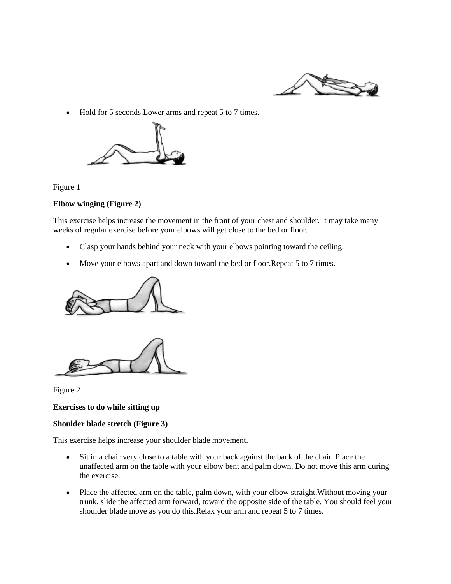

• Hold for 5 seconds. Lower arms and repeat 5 to 7 times.



Figure 1

### **Elbow winging (Figure 2)**

This exercise helps increase the movement in the front of your chest and shoulder. It may take many weeks of regular exercise before your elbows will get close to the bed or floor.

- Clasp your hands behind your neck with your elbows pointing toward the ceiling.
- Move your elbows apart and down toward the bed or floor.Repeat 5 to 7 times.





Figure 2

#### **Exercises to do while sitting up**

### **Shoulder blade stretch (Figure 3)**

This exercise helps increase your shoulder blade movement.

- Sit in a chair very close to a table with your back against the back of the chair. Place the unaffected arm on the table with your elbow bent and palm down. Do not move this arm during the exercise.
- Place the affected arm on the table, palm down, with your elbow straight.Without moving your trunk, slide the affected arm forward, toward the opposite side of the table. You should feel your shoulder blade move as you do this.Relax your arm and repeat 5 to 7 times.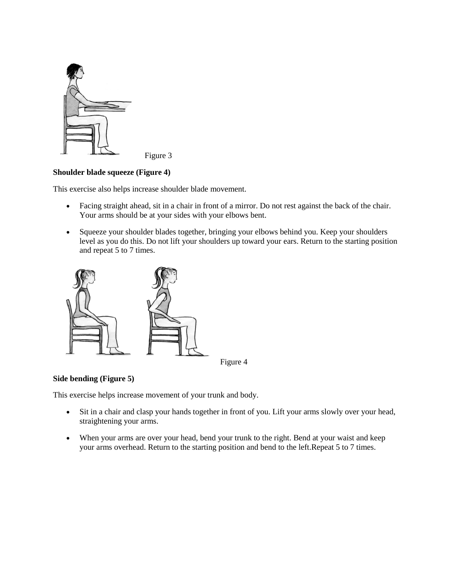

Figure 3

### **Shoulder blade squeeze (Figure 4)**

This exercise also helps increase shoulder blade movement.

- Facing straight ahead, sit in a chair in front of a mirror. Do not rest against the back of the chair. Your arms should be at your sides with your elbows bent.
- Squeeze your shoulder blades together, bringing your elbows behind you. Keep your shoulders level as you do this. Do not lift your shoulders up toward your ears. Return to the starting position and repeat 5 to 7 times.



Figure 4

### **Side bending (Figure 5)**

This exercise helps increase movement of your trunk and body.

- Sit in a chair and clasp your hands together in front of you. Lift your arms slowly over your head, straightening your arms.
- When your arms are over your head, bend your trunk to the right. Bend at your waist and keep your arms overhead. Return to the starting position and bend to the left.Repeat 5 to 7 times.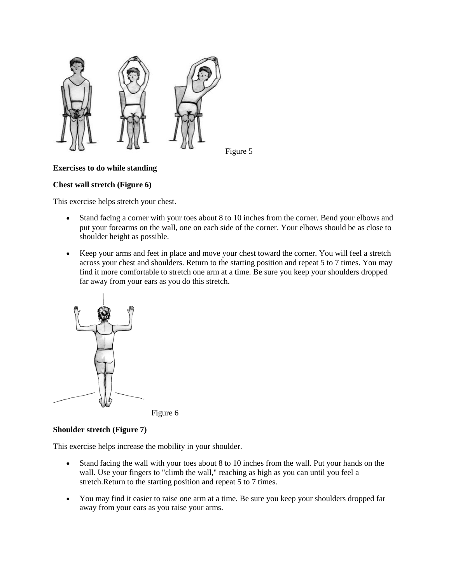

### Figure 5

# **Exercises to do while standing**

## **Chest wall stretch (Figure 6)**

This exercise helps stretch your chest.

- Stand facing a corner with your toes about 8 to 10 inches from the corner. Bend your elbows and put your forearms on the wall, one on each side of the corner. Your elbows should be as close to shoulder height as possible.
- Keep your arms and feet in place and move your chest toward the corner. You will feel a stretch across your chest and shoulders. Return to the starting position and repeat 5 to 7 times. You may find it more comfortable to stretch one arm at a time. Be sure you keep your shoulders dropped far away from your ears as you do this stretch.





## **Shoulder stretch (Figure 7)**

This exercise helps increase the mobility in your shoulder.

- Stand facing the wall with your toes about 8 to 10 inches from the wall. Put your hands on the wall. Use your fingers to "climb the wall," reaching as high as you can until you feel a stretch.Return to the starting position and repeat 5 to 7 times.
- You may find it easier to raise one arm at a time. Be sure you keep your shoulders dropped far away from your ears as you raise your arms.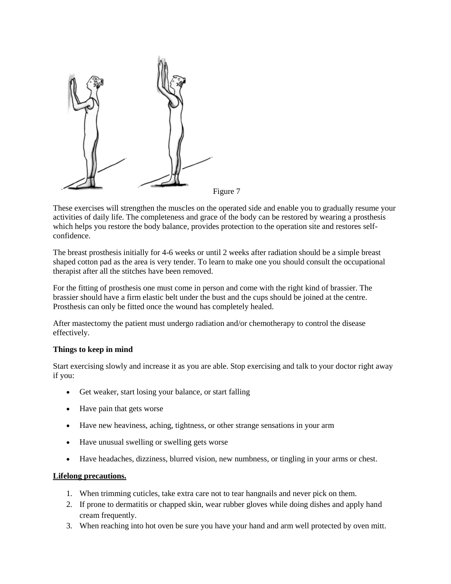

These exercises will strengthen the muscles on the operated side and enable you to gradually resume your activities of daily life. The completeness and grace of the body can be restored by wearing a prosthesis which helps you restore the body balance, provides protection to the operation site and restores selfconfidence.

The breast prosthesis initially for 4-6 weeks or until 2 weeks after radiation should be a simple breast shaped cotton pad as the area is very tender. To learn to make one you should consult the occupational therapist after all the stitches have been removed.

For the fitting of prosthesis one must come in person and come with the right kind of brassier. The brassier should have a firm elastic belt under the bust and the cups should be joined at the centre. Prosthesis can only be fitted once the wound has completely healed.

After mastectomy the patient must undergo radiation and/or chemotherapy to control the disease effectively.

### **Things to keep in mind**

Start exercising slowly and increase it as you are able. Stop exercising and talk to your doctor right away if you:

- Get weaker, start losing your balance, or start falling
- Have pain that gets worse
- Have new heaviness, aching, tightness, or other strange sensations in your arm
- Have unusual swelling or swelling gets worse
- Have headaches, dizziness, blurred vision, new numbness, or tingling in your arms or chest.

#### **Lifelong precautions.**

- 1. When trimming cuticles, take extra care not to tear hangnails and never pick on them.
- 2. If prone to dermatitis or chapped skin, wear rubber gloves while doing dishes and apply hand cream frequently.
- 3. When reaching into hot oven be sure you have your hand and arm well protected by oven mitt.